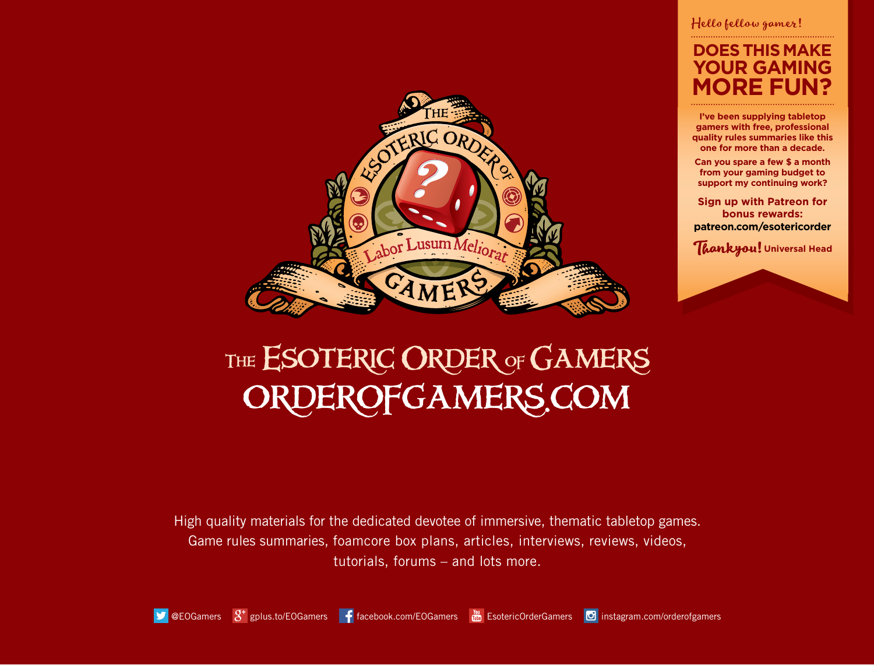

## Hello fellow gamer!

# **DOES THIS MAKE D** GAMI **MORE FUN?**

**I've been supplying tabletop gamers with free, professional quality rules summaries like this one for more than a decade.**

**Can you spare a few \$ a month from your gaming budget to support my continuing work?**

**Sign up with Patreon for bonus rewards: patreon.com/esotericorder**

**Thankyou! Universal Head**

# THE ESOTERIC ORDER OF GAMERS orderofgamers.com

High quality materials for the dedicated devotee of immersive, thematic tabletop games. Game rules summaries, foamcore box plans, articles, interviews, reviews, videos, tutorials, forums – and lots more.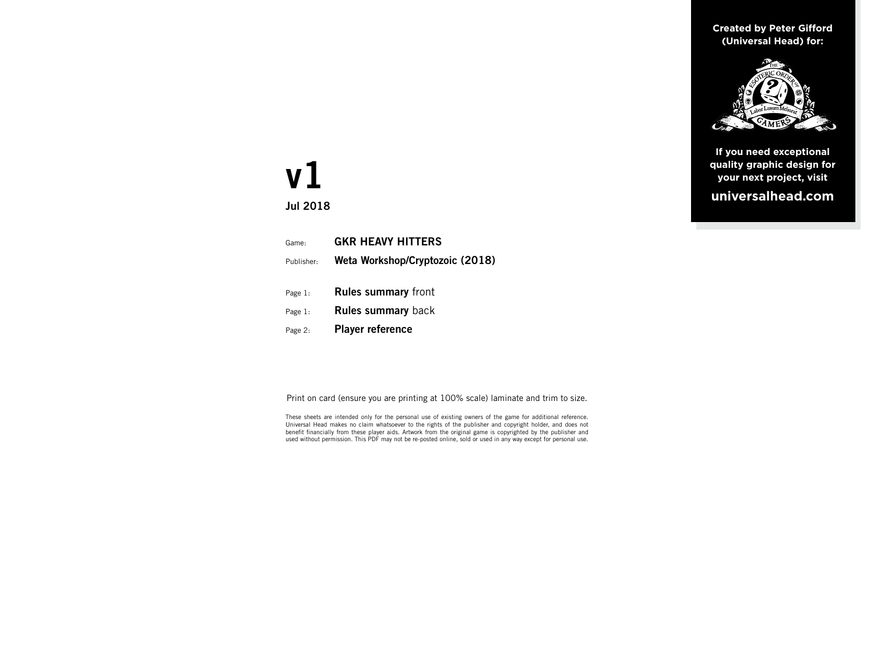**Created by Peter Gifford (Universal Head) for:**



**If you need exceptional quality graphic design for your next project, visit universalhead.com**

# **v1**

**Jul 2018**

| Game:      | <b>GKR HEAVY HITTERS</b>        |
|------------|---------------------------------|
| Publisher: | Weta Workshop/Cryptozoic (2018) |
| Page 1:    | <b>Rules summary front</b>      |
| Page 1:    | <b>Rules summary back</b>       |
| Page 2:    | <b>Player reference</b>         |
|            |                                 |

Print on card (ensure you are printing at 100% scale) laminate and trim to size.

These sheets are intended only for the personal use of existing owners of the game for additional reference. Universal Head makes no claim whatsoever to the rights of the publisher and copyright holder, and does not benefit financially from these player aids. Artwork from the original game is copyrighted by the publisher and used without permission. This PDF may not be re-posted online, sold or used in any way except for personal use.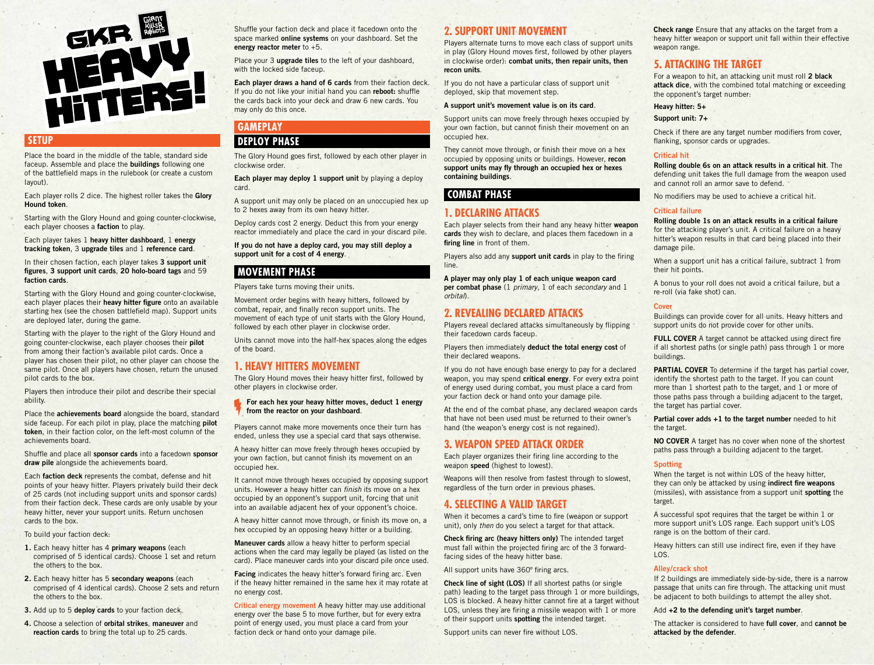

## **SETUP**

Place the board in the middle of the table, standard side faceup. Assemble and place the **buildings** following one of the battlefield maps in the rulebook (or create a custom layout).

Each player rolls 2 dice. The highest roller takes the **Glory Hound token**.

Starting with the Glory Hound and going counter-clockwise, each player chooses a **faction** to play.

Each player takes 1 **heavy hitter dashboard**, 1 **energy tracking token**, 3 **upgrade tiles** and 1 **reference card**.

In their chosen faction, each player takes **3 support unit figures**, **3 support unit cards**, **20 holo-board tags** and 59 **faction cards**.

Starting with the Glory Hound and going counter-clockwise, each player places their **heavy hitter figure** onto an available starting hex (see the chosen battlefield map). Support units are deployed later, during the game.

Starting with the player to the right of the Glory Hound and going counter-clockwise, each player chooses their **pilot** from among their faction's available pilot cards. Once a player has chosen their pilot, no other player can choose the same pilot. Once all players have chosen, return the unused pilot cards to the box.

Players then introduce their pilot and describe their special ability.

Place the **achievements board** alongside the board, standard side faceup. For each pilot in play, place the matching **pilot token**, in their faction color, on the left-most column of the achievements board.

Shuffle and place all **sponsor cards** into a facedown **sponsor draw pile** alongside the achievements board.

Each **faction deck** represents the combat, defense and hit points of your heavy hitter. Players privately build their deck of 25 cards (not including support units and sponsor cards) from their faction deck. These cards are only usable by your heavy hitter, never your support units. Return unchosen cards to the box.

#### To build your faction deck:

- **1.** Each heavy hitter has 4 **primary weapons** (each comprised of 5 identical cards). Choose 1 set and return the others to the box.
- **2.** Each heavy hitter has 5 **secondary weapons** (each comprised of 4 identical cards). Choose 2 sets and return the others to the box.
- **3.** Add up to 5 **deploy cards** to your faction deck.

**4.** Choose a selection of **orbital strikes**, **maneuver** and **reaction cards** to bring the total up to 25 cards.

Shuffle your faction deck and place it facedown onto the space marked **online systems** on your dashboard. Set the **energy reactor meter** to +5.

Place your 3 **upgrade tiles** to the left of your dashboard, with the locked side faceup.

**Each player draws a hand of 6 cards** from their faction deck. If you do not like your initial hand you can **reboot:** shuffle the cards back into your deck and draw 6 new cards. You may only do this once.

# **GAMEPLAY**

## **DEPLOY PHASE**

The Glory Hound goes first, followed by each other player in clockwise order.

**Each player may deploy 1 support unit** by playing a deploy card.

A support unit may only be placed on an unoccupied hex up to 2 hexes away from its own heavy hitter.

Deploy cards cost 2 energy. Deduct this from your energy reactor immediately and place the card in your discard pile.

**If you do not have a deploy card, you may still deploy a support unit for a cost of 4 energy**.

## **MOVEMENT PHASE**

## Players take turns moving their units.

Movement order begins with heavy hitters, followed by combat, repair, and finally recon support units. The movement of each type of unit starts with the Glory Hound, followed by each other player in clockwise order.

Units cannot move into the half-hex spaces along the edges of the board.

## **1. HEAVY HITTERS MOVEMENT**

The Glory Hound moves their heavy hitter first, followed by other players in clockwise order.

**For each hex your heavy hitter moves, deduct 1 energy from the reactor on your dashboard**.

Players cannot make more movements once their turn has ended, unless they use a special card that says otherwise.

A heavy hitter can move freely through hexes occupied by your own faction, but cannot finish its movement on an occupied hex.

It cannot move through hexes occupied by opposing support units. However a heavy hitter can *finish* its move on a hex occupied by an opponent's support unit, forcing that unit into an available adjacent hex of your opponent's choice.

A heavy hitter cannot move through, or finish its move on, a hex occupied by an opposing heavy hitter or a building.

**Maneuver cards** allow a heavy hitter to perform special actions when the card may legally be played (as listed on the card). Place maneuver cards into your discard pile once used.

**Facing** indicates the heavy hitter's forward firing arc. Even if the heavy hitter remained in the same hex it may rotate at no energy cost.

**Critical energy movement** A heavy hitter may use additional energy over the base 5 to move further, but for every extra point of energy used, you must place a card from your faction deck or hand onto your damage pile.

## **2. SUPPORT UNIT MOVEMENT**

Players alternate turns to move each class of support units in play (Glory Hound moves first, followed by other players in clockwise order): **combat units, then repair units, then recon units**.

If you do not have a particular class of support unit deployed, skip that movement step.

#### **A support unit's movement value is on its card**.

Support units can move freely through hexes occupied by your own faction, but cannot finish their movement on an occupied hex.

They cannot move through, or finish their move on a hex occupied by opposing units or buildings. However, **recon support units may fly through an occupied hex or hexes containing buildings**.

## **COMBAT PHASE**

## **1. DECLARING ATTACKS**

Each player selects from their hand any heavy hitter **weapon cards** they wish to declare, and places them facedown in a **firing line** in front of them.

Players also add any **support unit cards** in play to the firing line.

**A player may only play 1 of each unique weapon card per combat phase** (1 *primary*, 1 of each *secondary* and 1 *orbital*).

## **2. REVEALING DECLARED ATTACKS**

Players reveal declared attacks simultaneously by flipping their facedown cards faceup.

Players then immediately **deduct the total energy cost** of their declared weapons.

If you do not have enough base energy to pay for a declared weapon, you may spend **critical energy**. For every extra point of energy used during combat, you must place a card from your faction deck or hand onto your damage pile.

At the end of the combat phase, any declared weapon cards that have not been used must be returned to their owner's hand (the weapon's energy cost is not regained).

## **3. WEAPON SPEED ATTACK ORDER**

Each player organizes their firing line according to the weapon **speed** (highest to lowest).

Weapons will then resolve from fastest through to slowest. regardless of the turn order in previous phases.

## **4. SELECTING A VALID TARGET**

When it becomes a card's time to fire (weapon or support unit), only *then* do you select a target for that attack.

**Check firing arc (heavy hitters only)** The intended target must fall within the projected firing arc of the 3 forwardfacing sides of the heavy hitter base.

All support units have 360º firing arcs.

**Check line of sight (LOS)** If all shortest paths (or single path) leading to the target pass through 1 or more buildings, LOS is blocked. A heavy hitter cannot fire at a target without LOS, unless they are firing a missile weapon with 1 or more of their support units **spotting** the intended target.

Support units can never fire without LOS.

**Check range** Ensure that any attacks on the target from a heavy hitter weapon or support unit fall within their effective weapon range.

## **5. ATTACKING THE TARGET**

For a weapon to hit, an attacking unit must roll **2 black attack dice**, with the combined total matching or exceeding the opponent's target number:

#### **Heavy hitter: 5+**

**Support unit: 7+**

Check if there are any target number modifiers from cover, flanking, sponsor cards or upgrades.

#### **Critical hit**

**Rolling double 6s on an attack results in a critical hit**. The defending unit takes the full damage from the weapon used and cannot roll an armor save to defend.

No modifiers may be used to achieve a critical hit.

#### **Critical failure**

**Rolling double 1s on an attack results in a critical failure** for the attacking player's unit. A critical failure on a heavy hitter's weapon results in that card being placed into their

damage pile. When a support unit has a critical failure, subtract 1 from

their hit points.

A bonus to your roll does not avoid a critical failure, but a re-roll (via fake shot) can.

## **Cover**

Buildings can provide cover for all units. Heavy hitters and support units do not provide cover for other units.

**FULL COVER** A target cannot be attacked using direct fire if all shortest paths (or single path) pass through 1 or more buildings.

**PARTIAL COVER** To determine if the target has partial cover. identify the shortest path to the target. If you can count more than 1 shortest path to the target, and 1 or more of those paths pass through a building adjacent to the target, the target has partial cover.

**Partial cover adds +1 to the target number** needed to hit the target.

**NO COVER** A target has no cover when none of the shortest paths pass through a building adjacent to the target.

#### **Spotting**

When the target is not within LOS of the heavy hitter, they can only be attacked by using **indirect fire weapons** (missiles), with assistance from a support unit **spotting** the target.

A successful spot requires that the target be within 1 or more support unit's LOS range. Each support unit's LOS range is on the bottom of their card.

Heavy hitters can still use indirect fire, even if they have  $\overline{10S}$ 

#### **Alley/crack shot**

If 2 buildings are immediately side-by-side, there is a narrow passage that units can fire through. The attacking unit must be adjacent to both buildings to attempt the alley shot.

Add **+2 to the defending unit's target number**.

The attacker is considered to have **full cover**, and **cannot be attacked by the defender**.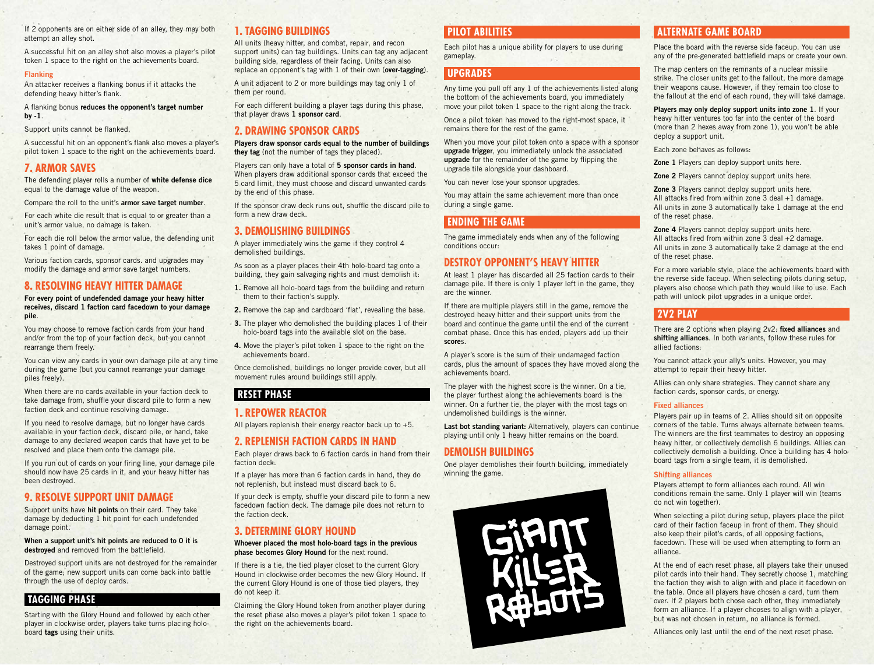If 2 opponents are on either side of an alley, they may both attempt an alley shot.

A successful hit on an alley shot also moves a player's pilot token 1 space to the right on the achievements board.

### **Flanking**

An attacker receives a flanking bonus if it attacks the defending heavy hitter's flank.

A flanking bonus **reduces the opponent's target number by -1**.

Support units cannot be flanked.

A successful hit on an opponent's flank also moves a player's pilot token 1 space to the right on the achievements board.

## **7. ARMOR SAVES**

The defending player rolls a number of **white defense dice** equal to the damage value of the weapon.

Compare the roll to the unit's **armor save target number**.

For each white die result that is equal to or greater than a unit's armor value, no damage is taken.

For each die roll below the armor value, the defending unit takes 1 point of damage.

Various faction cards, sponsor cards. and upgrades may modify the damage and armor save target numbers.

## **8. RESOLVING HEAVY HITTER DAMAGE**

**For every point of undefended damage your heavy hitter receives, discard 1 faction card facedown to your damage pile**.

You may choose to remove faction cards from your hand and/or from the top of your faction deck, but you cannot rearrange them freely.

You can view any cards in your own damage pile at any time during the game (but you cannot rearrange your damage piles freely).

When there are no cards available in your faction deck to take damage from, shuffle your discard pile to form a new faction deck and continue resolving damage.

If you need to resolve damage, but no longer have cards available in your faction deck, discard pile, or hand, take damage to any declared weapon cards that have yet to be resolved and place them onto the damage pile.

If you run out of cards on your firing line, your damage pile should now have 25 cards in it, and your heavy hitter has been destroyed.

## **9. RESOLVE SUPPORT UNIT DAMAGE**

Support units have **hit points** on their card. They take damage by deducting 1 hit point for each undefended damage point.

**When a support unit's hit points are reduced to 0 it is destroyed** and removed from the battlefield.

Destroyed support units are not destroyed for the remainder of the game; new support units can come back into battle through the use of deploy cards.

## **TAGGING PHASE**

Starting with the Glory Hound and followed by each other player in clockwise order, players take turns placing holoboard **tags** using their units.

## **1. TAGGING BUILDINGS**

All units (heavy hitter, and combat, repair, and recon support units) can tag buildings. Units can tag any adjacent building side, regardless of their facing. Units can also replace an opponent's tag with 1 of their own (**over-tagging**).

A unit adjacent to 2 or more buildings may tag only 1 of them per round.

For each different building a player tags during this phase, that player draws **1 sponsor card**.

## **2. DRAWING SPONSOR CARDS**

**Players draw sponsor cards equal to the number of buildings they tag** (not the number of tags they placed).

Players can only have a total of **5 sponsor cards in hand**. When players draw additional sponsor cards that exceed the 5 card limit, they must choose and discard unwanted cards by the end of this phase.

If the sponsor draw deck runs out, shuffle the discard pile to form a new draw deck.

## **3. DEMOLISHING BUILDINGS**

A player immediately wins the game if they control 4 demolished buildings.

As soon as a player places their 4th holo-board tag onto a building, they gain salvaging rights and must demolish it:

- **1.** Remove all holo-board tags from the building and return them to their faction's supply.
- **2.** Remove the cap and cardboard 'flat', revealing the base.
- **3.** The player who demolished the building places 1 of their holo-board tags into the available slot on the base.
- **4.** Move the player's pilot token 1 space to the right on the achievements board.

Once demolished, buildings no longer provide cover, but all movement rules around buildings still apply.

## **RESET PHASE**

## **1. REPOWER REACTOR**

All players replenish their energy reactor back up to +5.

## **2. REPLENISH FACTION CARDS IN HAND**

Each player draws back to 6 faction cards in hand from their faction deck.

If a player has more than 6 faction cards in hand, they do not replenish, but instead must discard back to 6.

If your deck is empty, shuffle your discard pile to form a new facedown faction deck. The damage pile does not return to the faction deck.

## **3. DETERMINE GLORY HOUND**

**Whoever placed the most holo-board tags in the previous phase becomes Glory Hound** for the next round.

If there is a tie, the tied player closet to the current Glory Hound in clockwise order becomes the new Glory Hound. If the current Glory Hound is one of those tied players, they do not keep it.

Claiming the Glory Hound token from another player during the reset phase also moves a player's pilot token 1 space to the right on the achievements board.

## **PILOT ABILITIES**

Each pilot has a unique ability for players to use during gameplay.

## **UPGRADES**

Any time you pull off any 1 of the achievements listed along the bottom of the achievements board, you immediately move your pilot token 1 space to the right along the track.

Once a pilot token has moved to the right-most space, it remains there for the rest of the game.

When you move your pilot token onto a space with a sponsor **upgrade trigger**, you immediately unlock the associated **upgrade** for the remainder of the game by flipping the upgrade tile alongside your dashboard.

You can never lose your sponsor upgrades.

You may attain the same achievement more than once during a single game.

## **ENDING THE GAME**

The game immediately ends when any of the following conditions occur:

## **DESTROY OPPONENT'S HEAVY HITTER**

At least 1 player has discarded all 25 faction cards to their damage pile. If there is only 1 player left in the game, they are the winner.

If there are multiple players still in the game, remove the destroyed heavy hitter and their support units from the board and continue the game until the end of the current combat phase. Once this has ended, players add up their **score**s.

A player's score is the sum of their undamaged faction cards, plus the amount of spaces they have moved along the achievements board.

The player with the highest score is the winner. On a tie, the player furthest along the achievements board is the winner. On a further tie, the player with the most tags on undemolished buildings is the winner.

**Last bot standing variant:** Alternatively, players can continue playing until only 1 heavy hitter remains on the board.

#### **DEMOLISH BUILDINGS**

One player demolishes their fourth building, immediately winning the game.



## **ALTERNATE GAME BOARD**

Place the board with the reverse side faceup. You can use any of the pre-generated battlefield maps or create your own.

The map centers on the remnants of a nuclear missile strike. The closer units get to the fallout, the more damage their weapons cause. However, if they remain too close to the fallout at the end of each round, they will take damage.

**Players may only deploy support units into zone 1**. If your heavy hitter ventures too far into the center of the board (more than 2 hexes away from zone 1), you won't be able deploy a support unit.

Each zone behaves as follows:

**Zone 1** Players can deploy support units here.

**Zone 2** Players cannot deploy support units here.

**Zone 3** Players cannot deploy support units here. All attacks fired from within zone 3 deal +1 damage. All units in zone 3 automatically take 1 damage at the end of the reset phase.

**Zone 4** Players cannot deploy support units here. All attacks fired from within zone 3 deal +2 damage. All units in zone 3 automatically take 2 damage at the end of the reset phase.

For a more variable style, place the achievements board with the reverse side faceup. When selecting pilots during setup, players also choose which path they would like to use. Each path will unlock pilot upgrades in a unique order.

## **2V2 PLAY**

There are 2 options when playing 2v2: **fixed alliances** and **shifting alliances**. In both variants, follow these rules for allied factions:

You cannot attack your ally's units. However, you may attempt to repair their heavy hitter.

Allies can only share strategies. They cannot share any faction cards, sponsor cards, or energy.

#### **Fixed alliances**

Players pair up in teams of 2. Allies should sit on opposite corners of the table. Turns always alternate between teams. The winners are the first teammates to destroy an opposing heavy hitter, or collectively demolish 6 buildings. Allies can collectively demolish a building. Once a building has 4 holoboard tags from a single team, it is demolished.

#### **Shifting alliances**

Players attempt to form alliances each round. All win conditions remain the same. Only 1 player will win (teams do not win together).

When selecting a pilot during setup, players place the pilot card of their faction faceup in front of them. They should also keep their pilot's cards, of all opposing factions, facedown. These will be used when attempting to form an alliance.

At the end of each reset phase, all players take their unused pilot cards into their hand. They secretly choose 1, matching the faction they wish to align with and place it facedown on the table. Once all players have chosen a card, turn them over. If 2 players both chose each other, they immediately form an alliance. If a player chooses to align with a player, but was not chosen in return, no alliance is formed.

Alliances only last until the end of the next reset phase.